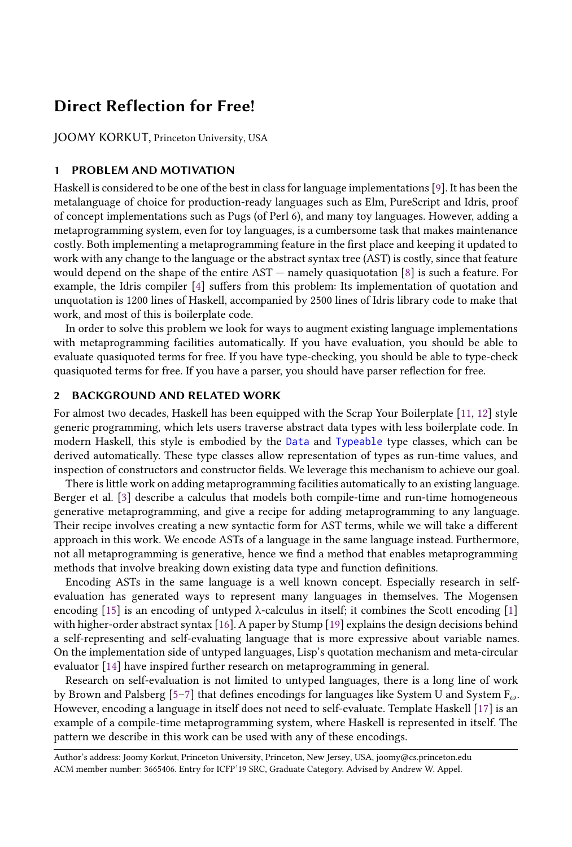# **Direct Reflection for Free!**

JOOMY KORKUT, Princeton University, USA

### **1 PROBLEM AND MOTIVATION**

Haskell is considered to be one of the best in class for language implement[ati](#page-3-0)ons [9]. It has been the metalanguage of choice for p[ro](#page-3-1)duction-ready languages such as Elm, PureScript and Idris, proof of concept implementations such as Pugs (of Perl 6), and many toy languages. However, adding a metaprogramming system, even for toy languages, is a cumbersome task that makes maintenance costly. Both implementing a metaprogramming feature in the first place and keeping it updated to work with any change to the language or the abstract syntax tree (AST) is costly, since that feature would depend on the shape of the entire  $AST$  — namely quasiquotation [8] is such a feature. For example, the Idris compiler [4] suffers from this problem: Its implementation of quotation and unquotation is 1200 lines of Haskell, accompanied by 2500 lines of Idris library code to make that work, and most of this is boilerplate code.

In order to solve this problem we look for ways to augment existing language impl[em](#page-3-2)[ent](#page-3-3)ations with metaprogramming facilities automatically. If you have evaluation, you should be able to evaluate quasiquoted terms for free. If you have type-checking, you should be able to type-check quasiquoted terms for free. If you have a parser, you should have parser reflection for free.

## **2 BACKGROUND AND RELATED WORK**

For almost tw[o](#page-3-4) decades, Haskell has been equipped with the Scrap Your Boilerplate [11, 12] style generic programming, which lets users traverse abstract data types with less boilerplate code. In modern Haskell, this style is embodied by the Data and Typeable type classes, which can be derived automatically. These type classes allow representation of types as run-time values, and inspection of constructors and constructor fields. We leverage this mechanism to achieve our goal.

There is little work on adding metaprogramming facilities automatically to an existing language. Berger et al. [3] describe a calculus that models both compile-time and run-time homogeneous generative metaprogramming, and give a recipe for adding metaprogramming to any language. Their reci[pe i](#page-3-5)nvolves creating a new syntactic form for AST terms, while we will take a differe[n](#page-3-6)t approach in this work. We encode [AS](#page-3-7)Ts of a language in t[he](#page-3-8) same language instead. Furthermore, not all metaprogramming is generative, hence we find a method that enables metaprogramming methods that involve breaking down existing data type and function definitions.

Encodin[g A](#page-3-9)STs in the same language is a well known concept. Especially research in selfevaluation has generated ways to represent many languages in themselves. The Mogensen enc[od](#page-3-10)i[ng](#page-3-11) [15] is an encoding of untyped  $\lambda$ -calculus in itself; it combines the Scott encoding [1] with higher-order abstract syntax [16]. A paper by Stump [19] explains the design decisio[ns b](#page-3-12)ehind a self-representing and self-evaluating language that is more expressive about variable names. On the implementation side of untyped languages, Lisp's quotation mechanism and meta-circular evaluator [14] have inspired further research on metaprogramming in general.

Research on self-evaluation is not limited to untyped languages, there is a long line of work by Brown and Palsberg [5–7] that defines encodings for languages like System U and System F*ω*. However, encoding a language in itself does not need to self-evaluate. Template Haskell [17] is an example of a compile-time metaprogramming system, where Haskell is represented in itself. The pattern we describe in this work can be used with any of these encodings.

Author's address: Joomy Korkut, Princeton University, Princeton, New Jersey, USA, joomy@cs.princeton.edu ACM member number: 3665406. Entry for ICFP'19 SRC, Graduate Category. Advised by Andrew W. Appel.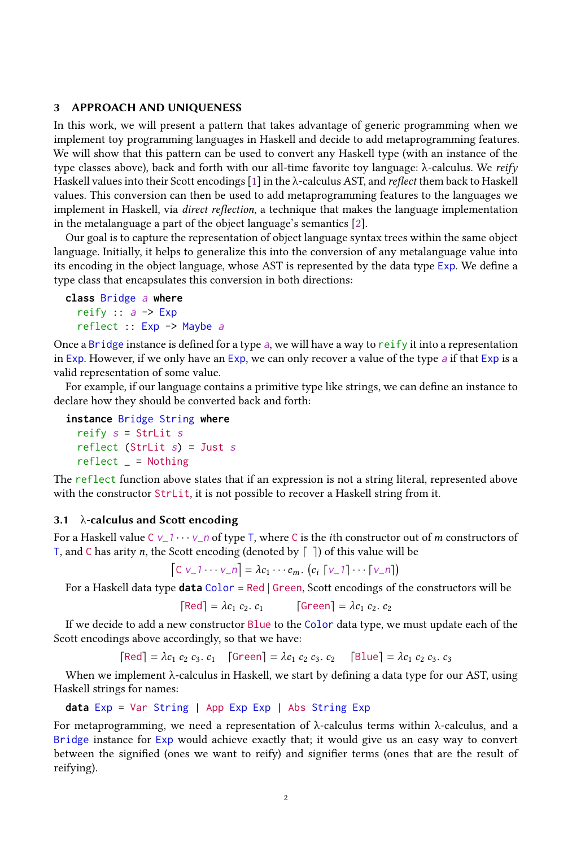#### **3 APPROACH AND UNIQUENESS**

In this work, we will present a pattern that takes advantage of generic programming when we implement toy programming languages in Haskell and decide [to](#page-3-13) add metaprogramming features. We will show that this pattern can be used to convert any Haskell type (with an instance of the type classes above), back and forth with our all-time favorite toy language: λ-calculus. We *reify* Haskell values into their Scott encodings [1] in the λ-calculus AST, and *reflect* them back to Haskell values. This conversion can then be used to add metaprogramming features to the languages we implement in Haskell, via *direct reflection*, a technique that makes the language implementation in the metalanguage a part of the object language's semantics [2].

Our goal is to capture the representation of object language syntax trees within the same object language. Initially, it helps to generalize this into the conversion of any metalanguage value into its encoding in the object language, whose AST is represented by the data type Exp. We define a type class that encapsulates this conversion in both directions:

```
class Bridge a where
reify :: a \rightarrow Expreflect :: Exp -> Maybe a
```
Once a Bridge instance is defined for a type a, we will have a way to reify it into a representation in Exp. However, if we only have an Exp, we can only recover a value of the type a if that Exp is a valid representation of some value.

For example, if our language contains a primitive type like strings, we can define an instance to declare how they should be converted back and forth:

**instance** Bridge String **where** reify <sup>s</sup> = StrLit <sup>s</sup> reflect (StrLit <sup>s</sup>) = Just <sup>s</sup> reflect \_ = Nothing

The reflect function above states that if an expression is not a string literal, represented above with the constructor StrLit, it is not possible to recover a Haskell string from it.

### **3.1** λ**-calculus and Scott encoding**

For a Haskell value C v\_1 · · · v\_n of type T, where C is the *i*th constructor out of *m* constructors of T, and C has arity *n*, the Scott encoding (denoted by  $\lceil \ \rceil$ ) of this value will be

$$
\big[ C \ v_1 \cdots \ v_n \big] = \lambda c_1 \cdots c_m \cdot \big( c_i \big[ \ v_1 \big] \cdots \big[ \ v_n \big] \big)
$$

For a Haskell data type **data** Color = Red | Green, Scott encodings of the constructors will be

$$
[\text{Red}] = \lambda c_1 \ c_2 \ c_1 \qquad [\text{Green}] = \lambda c_1 \ c_2 \ c_2
$$

If we decide to add a new constructor Blue to the Color data type, we must update each of the Scott encodings above accordingly, so that we have:

 $[Red] = \lambda c_1 c_2 c_3 c_1$   $[Green] = \lambda c_1 c_2 c_3 c_2$   $[Blue] = \lambda c_1 c_2 c_3 c_3$ 

When we implement λ-calculus in Haskell, we start by defining a data type for our AST, using Haskell strings for names:

**data** Exp = Var String | App Exp Exp | Abs String Exp

For metaprogramming, we need a representation of  $\lambda$ -calculus terms within  $\lambda$ -calculus, and a Bridge instance for Exp would achieve exactly that; it would give us an easy way to convert between the signified (ones we want to reify) and signifier terms (ones that are the result of reifying).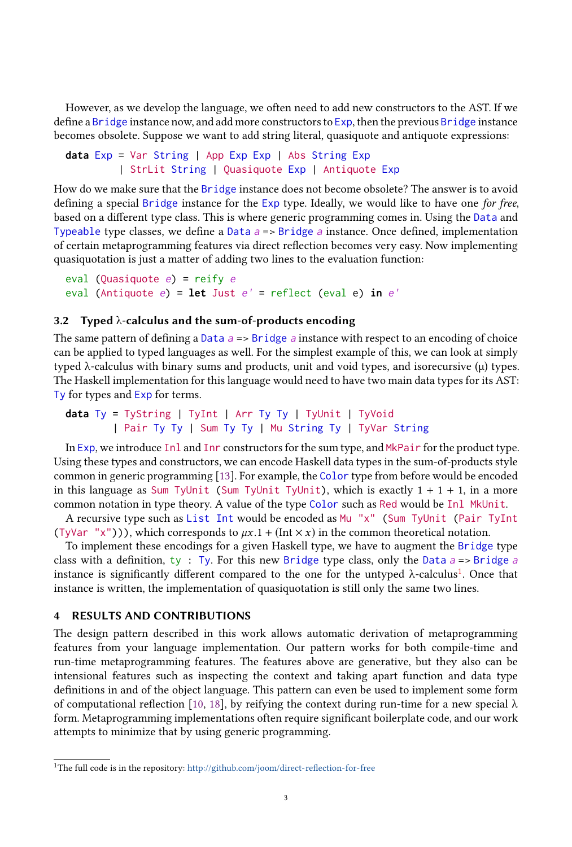However, as we develop the language, we often need to add new constructors to the AST. If we define a Bridge instance now, and add more constructors to Exp, then the previous Bridge instance becomes obsolete. Suppose we want to add string literal, quasiquote and antiquote expressions:

```
data Exp = Var String | App Exp Exp | Abs String Exp
       | StrLit String | Quasiquote Exp | Antiquote Exp
```
How do we make sure that the Bridge instance does not become obsolete? The answer is to avoid defining a special Bridge instance for the Exp type. Ideally, we would like to have one *for free*, based on a different type class. This is where generic programming comes in. Using the Data and Typeable type classes, we define a Data  $a \Rightarrow$  Bridge a instance. Once defined, implementation of certain metaprogramming features via direct reflection becomes very easy. Now implementing quasiquotation is just a matter of adding two lines to the evaluation function:

eval (Quasiquote <sup>e</sup>) = reify <sup>e</sup> eval (Antiquote <sup>e</sup>) = **let** Just <sup>e</sup>' = reflect (eval e) **in** <sup>e</sup>'

### **3.2 Typed** λ**-calculus and the sum-of-products encoding**

The same pattern of defining a Data  $a \geq 5$  Bridge a instance with respect to an encoding of choice can be applied to typed languages as well. For the simplest example of this, we can look at simply typed  $\lambda$ -calculus with binary sums and products, unit and void types, and isorecursive  $(\mu)$  types. The Haskell implementation for this language would need to have two main data types for its AST: Ty for types and Exp for terms.

```
data Ty = TyString | TyInt | Arr Ty Ty | TyUnit | TyVoid
      | Pair Ty Ty | Sum Ty Ty | Mu String Ty | TyVar String
```
In Exp, we introduce Inl and Inr constructors for the sum type, and MkPair for the product type. Using these types and constructors, we can encode Haskell data types in the sum-of-products style common in generic programming [13]. For example, the Color type from before would be encoded in this language as Sum TyUnit (Sum TyUnit TyUnit), which is exactly  $1 + 1 + 1$ , in a more common notation in type theory. A value of the type Color such as Red would be Inl MkUnit.

A recursive type such as List Int would be encoded as Mu "x" (Sum TyUnit (Pair TyInt (TyVar "x"))), which corresponds to  $\mu x.1 + (\text{Int} \times x)$  in the common theoretical notation.

To implement these encodings for a given Haskell type, we have to augment the Bridge type class with a definition, ty : Ty. For this new Bridge type class, only the Data  $a \Rightarrow$  Bridge  $a$ instance is significantly different compared to the one for the untyped  $\lambda$ -calculus<sup>1</sup>. Once that instance is written, the implementation of quasiquotation is still only the same two lines.

# **4 RESULTS AND CONT[RIB](#page-3-14)[UT](#page-3-15)IONS**

The design pattern described in this work allows automatic derivation of metaprogramming features from your language implementation. Our pattern works for both compile-time and run-time metaprogramming features. The features above are generative, but they also can be intensional features such as inspecting the context and taking apart function and data type definitions in and of the obj[ect language. This pattern can even be u](http://github.com/joom/direct-reflection-for-free)sed to implement some form of computational reflection [10, 18], by reifying the context during run-time for a new special  $\lambda$ form. Metaprogramming implementations often require significant boilerplate code, and our work attempts to minimize that by using generic programming.

<sup>1</sup>The full code is in the repository: http://github.com/joom/direct-reflection-for-free